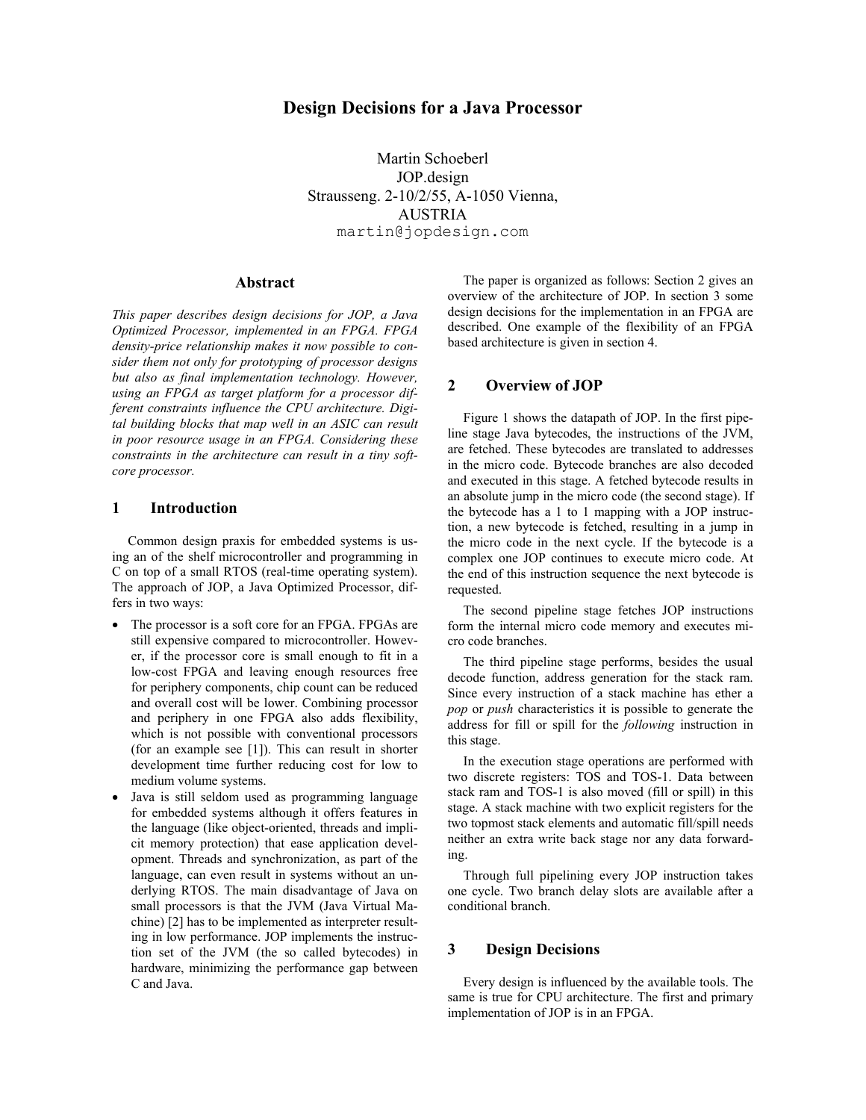# **Design Decisions for a Java Processor**

Martin Schoeberl JOP.design Strausseng. 2-10/2/55, A-1050 Vienna, **AUSTRIA** martin@jopdesign.com

## **Abstract**

*This paper describes design decisions for JOP, a Java Optimized Processor, implemented in an FPGA. FPGA density-price relationship makes it now possible to consider them not only for prototyping of processor designs but also as final implementation technology. However, using an FPGA as target platform for a processor different constraints influence the CPU architecture. Digital building blocks that map well in an ASIC can result in poor resource usage in an FPGA. Considering these constraints in the architecture can result in a tiny softcore processor.* 

### **1 Introduction**

Common design praxis for embedded systems is using an of the shelf microcontroller and programming in C on top of a small RTOS (real-time operating system). The approach of JOP, a Java Optimized Processor, differs in two ways:

- The processor is a soft core for an FPGA. FPGAs are still expensive compared to microcontroller. However, if the processor core is small enough to fit in a low-cost FPGA and leaving enough resources free for periphery components, chip count can be reduced and overall cost will be lower. Combining processor and periphery in one FPGA also adds flexibility, which is not possible with conventional processors (for an example see [1]). This can result in shorter development time further reducing cost for low to medium volume systems.
- Java is still seldom used as programming language for embedded systems although it offers features in the language (like object-oriented, threads and implicit memory protection) that ease application development. Threads and synchronization, as part of the language, can even result in systems without an underlying RTOS. The main disadvantage of Java on small processors is that the JVM (Java Virtual Machine) [2] has to be implemented as interpreter resulting in low performance. JOP implements the instruction set of the JVM (the so called bytecodes) in hardware, minimizing the performance gap between C and Java.

The paper is organized as follows: Section 2 gives an overview of the architecture of JOP. In section 3 some design decisions for the implementation in an FPGA are described. One example of the flexibility of an FPGA based architecture is given in section 4.

### **2 Overview of JOP**

Figure 1 shows the datapath of JOP. In the first pipeline stage Java bytecodes, the instructions of the JVM, are fetched. These bytecodes are translated to addresses in the micro code. Bytecode branches are also decoded and executed in this stage. A fetched bytecode results in an absolute jump in the micro code (the second stage). If the bytecode has a 1 to 1 mapping with a JOP instruction, a new bytecode is fetched, resulting in a jump in the micro code in the next cycle. If the bytecode is a complex one JOP continues to execute micro code. At the end of this instruction sequence the next bytecode is requested.

The second pipeline stage fetches JOP instructions form the internal micro code memory and executes micro code branches.

The third pipeline stage performs, besides the usual decode function, address generation for the stack ram. Since every instruction of a stack machine has ether a *pop* or *push* characteristics it is possible to generate the address for fill or spill for the *following* instruction in this stage.

In the execution stage operations are performed with two discrete registers: TOS and TOS-1. Data between stack ram and TOS-1 is also moved (fill or spill) in this stage. A stack machine with two explicit registers for the two topmost stack elements and automatic fill/spill needs neither an extra write back stage nor any data forwarding.

Through full pipelining every JOP instruction takes one cycle. Two branch delay slots are available after a conditional branch.

### **3 Design Decisions**

Every design is influenced by the available tools. The same is true for CPU architecture. The first and primary implementation of JOP is in an FPGA.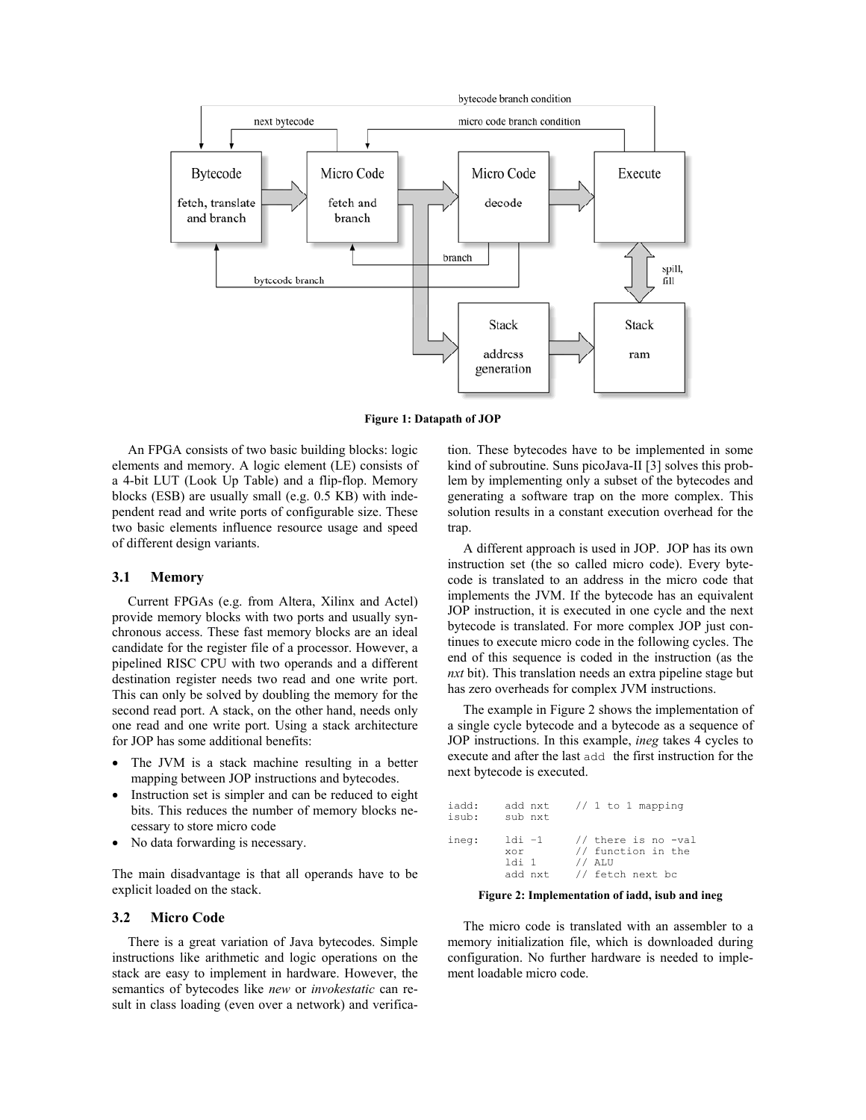

**Figure 1: Datapath of JOP**

An FPGA consists of two basic building blocks: logic elements and memory. A logic element (LE) consists of a 4-bit LUT (Look Up Table) and a flip-flop. Memory blocks (ESB) are usually small (e.g. 0.5 KB) with independent read and write ports of configurable size. These two basic elements influence resource usage and speed of different design variants.

#### **3.1 Memory**

Current FPGAs (e.g. from Altera, Xilinx and Actel) provide memory blocks with two ports and usually synchronous access. These fast memory blocks are an ideal candidate for the register file of a processor. However, a pipelined RISC CPU with two operands and a different destination register needs two read and one write port. This can only be solved by doubling the memory for the second read port. A stack, on the other hand, needs only one read and one write port. Using a stack architecture for JOP has some additional benefits:

- The JVM is a stack machine resulting in a better mapping between JOP instructions and bytecodes.
- Instruction set is simpler and can be reduced to eight bits. This reduces the number of memory blocks necessary to store micro code
- No data forwarding is necessary.

The main disadvantage is that all operands have to be explicit loaded on the stack.

#### **3.2 Micro Code**

There is a great variation of Java bytecodes. Simple instructions like arithmetic and logic operations on the stack are easy to implement in hardware. However, the semantics of bytecodes like *new* or *invokestatic* can result in class loading (even over a network) and verification. These bytecodes have to be implemented in some kind of subroutine. Suns picoJava-II [3] solves this problem by implementing only a subset of the bytecodes and generating a software trap on the more complex. This solution results in a constant execution overhead for the trap.

A different approach is used in JOP. JOP has its own instruction set (the so called micro code). Every bytecode is translated to an address in the micro code that implements the JVM. If the bytecode has an equivalent JOP instruction, it is executed in one cycle and the next bytecode is translated. For more complex JOP just continues to execute micro code in the following cycles. The end of this sequence is coded in the instruction (as the *nxt* bit). This translation needs an extra pipeline stage but has zero overheads for complex JVM instructions.

The example in Figure 2 shows the implementation of a single cycle bytecode and a bytecode as a sequence of JOP instructions. In this example, *ineg* takes 4 cycles to execute and after the last add the first instruction for the next bytecode is executed.

| iadd:<br>isub: | add nxt<br>sub nxt | // 1 to 1 mapping                         |
|----------------|--------------------|-------------------------------------------|
| ineg:          | $1di -1$<br>xor    | // there is no -val<br>// function in the |
|                | 1di 1              | // ALU                                    |
|                | add nxt            | // fetch next bc                          |

**Figure 2: Implementation of iadd, isub and ineg** 

The micro code is translated with an assembler to a memory initialization file, which is downloaded during configuration. No further hardware is needed to implement loadable micro code.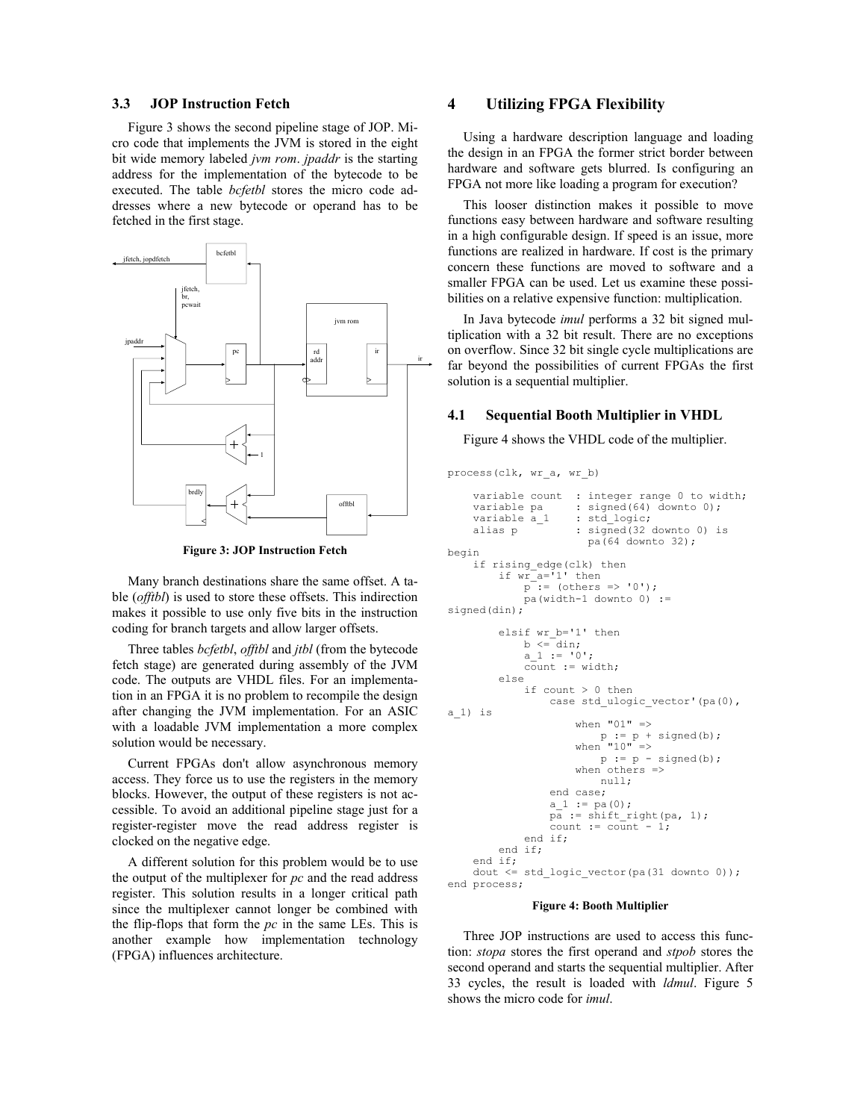### **3.3 JOP Instruction Fetch**

Figure 3 shows the second pipeline stage of JOP. Micro code that implements the JVM is stored in the eight bit wide memory labeled *jvm rom*. *jpaddr* is the starting address for the implementation of the bytecode to be executed. The table *bcfetbl* stores the micro code addresses where a new bytecode or operand has to be fetched in the first stage.



**Figure 3: JOP Instruction Fetch** 

Many branch destinations share the same offset. A table (*offtbl*) is used to store these offsets. This indirection makes it possible to use only five bits in the instruction coding for branch targets and allow larger offsets.

Three tables *bcfetbl*, *offtbl* and *jtbl* (from the bytecode fetch stage) are generated during assembly of the JVM code. The outputs are VHDL files. For an implementation in an FPGA it is no problem to recompile the design after changing the JVM implementation. For an ASIC with a loadable JVM implementation a more complex solution would be necessary.

Current FPGAs don't allow asynchronous memory access. They force us to use the registers in the memory blocks. However, the output of these registers is not accessible. To avoid an additional pipeline stage just for a register-register move the read address register is clocked on the negative edge.

A different solution for this problem would be to use the output of the multiplexer for *pc* and the read address register. This solution results in a longer critical path since the multiplexer cannot longer be combined with the flip-flops that form the *pc* in the same LEs. This is another example how implementation technology (FPGA) influences architecture.

### **4 Utilizing FPGA Flexibility**

Using a hardware description language and loading the design in an FPGA the former strict border between hardware and software gets blurred. Is configuring an FPGA not more like loading a program for execution?

This looser distinction makes it possible to move functions easy between hardware and software resulting in a high configurable design. If speed is an issue, more functions are realized in hardware. If cost is the primary concern these functions are moved to software and a smaller FPGA can be used. Let us examine these possibilities on a relative expensive function: multiplication.

In Java bytecode *imul* performs a 32 bit signed multiplication with a 32 bit result. There are no exceptions on overflow. Since 32 bit single cycle multiplications are far beyond the possibilities of current FPGAs the first solution is a sequential multiplier.

#### **4.1 Sequential Booth Multiplier in VHDL**

Figure 4 shows the VHDL code of the multiplier.

```
process(clk, wr a, wr b)
     variable count : integer range 0 to width;<br>variable pa : signed (64) downto 0);
     variable pa : signed(64) downto 0);<br>variable a 1 : std logic;
    variable a<sup>1</sup> : std_logic;<br>alias p : signed(32
                        : signed (32 downto 0) is
                           pa(64 downto 32); 
begin 
      if rising_edge(clk) then 
          if wr_{a}^{-}a = 1' then
              p^- := (others => '0');
              pa(width-1 downto 0) :=
signed(din);
           elsif wr_b='1' then 
              b \leq -din:
              a 1 := '0';\overline{\text{count}} := \text{width}; else 
               if count > 0 then 
                     case std_ulogic_vector'(pa(0), 
a_1) is 
                        when "01" =>
p := p + signed(b);when "10" =>
                            p := p - signed(b);
                        when others \Rightarrow null; 
                    end case; 
                   a 1 := pa(0); pa := shift_right(pa, 1); 
                   count := count -1;
               end if; 
           end if; 
    end if;<br>dout \leqstd logic vector(pa(31 downto 0));
end process;
```
#### **Figure 4: Booth Multiplier**

Three JOP instructions are used to access this function: *stopa* stores the first operand and *stpob* stores the second operand and starts the sequential multiplier. After 33 cycles, the result is loaded with *ldmul*. Figure 5 shows the micro code for *imul*.